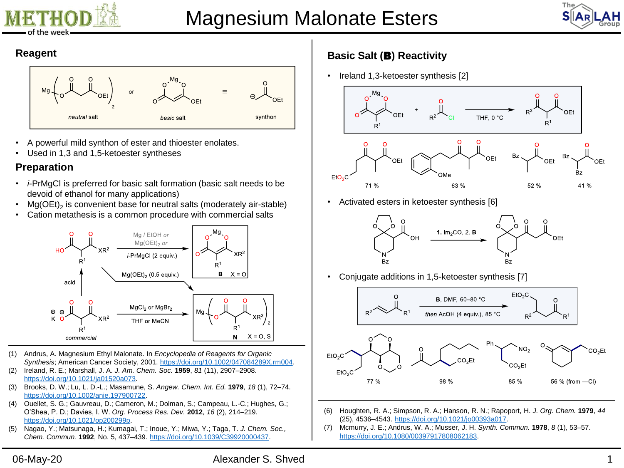



## **Reagent**



- A powerful mild synthon of ester and thioester enolates.
- Used in 1,3 and 1,5-ketoester syntheses

## **Preparation**

- *i*-PrMgCl is preferred for basic salt formation (basic salt needs to be devoid of ethanol for many applications)
- $Mg(OEt)_2$  is convenient base for neutral salts (moderately air-stable)
- Cation metathesis is a common procedure with commercial salts



- (1) Andrus, A. Magnesium Ethyl Malonate. In *Encyclopedia of Reagents for Organic Synthesis*; American Cancer Society, 2001. [https://doi.org/10.1002/047084289X.rm004.](https://doi.org/10.1002/047084289X.rm004)
- (2) Ireland, R. E.; Marshall, J. A. *J. Am. Chem. Soc.* **1959**, *81* (11), 2907–2908. [https://doi.org/10.1021/ja01520a073.](https://doi.org/10.1021/ja01520a073)
- (3) Brooks, D. W.; Lu, L. D.-L.; Masamune, S. *Angew. Chem. Int. Ed.* **1979**, *18* (1), 72–74. [https://doi.org/10.1002/anie.197900722.](https://doi.org/10.1002/anie.197900722)
- (4) Ouellet, S. G.; Gauvreau, D.; Cameron, M.; Dolman, S.; Campeau, L.-C.; Hughes, G.; O'Shea, P. D.; Davies, I. W. *Org. Process Res. Dev.* **2012**, *16* (2), 214–219. <https://doi.org/10.1021/op200299p>.
- (5) Nagao, Y.; Matsunaga, H.; Kumagai, T.; Inoue, Y.; Miwa, Y.; Taga, T. *J. Chem. Soc., Chem. Commun.* **1992**, No. 5, 437–439. <https://doi.org/10.1039/C39920000437>.

# **Basic Salt (**B**) Reactivity**

• Ireland 1,3-ketoester synthesis [2]



• Activated esters in ketoester synthesis [6]



• Conjugate additions in 1,5-ketoester synthesis [7]



- (6) Houghten, R. A.; Simpson, R. A.; Hanson, R. N.; Rapoport, H. *J. Org. Chem.* **1979**, *44*  (25), 4536–4543. <https://doi.org/10.1021/jo00393a017>.
- (7) Mcmurry, J. E.; Andrus, W. A.; Musser, J. H. *Synth. Commun.* **1978**, *8* (1), 53–57. [https://doi.org/10.1080/00397917808062183.](https://doi.org/10.1080/00397917808062183)

## 06-May-20 **Alexander S. Shved** 1